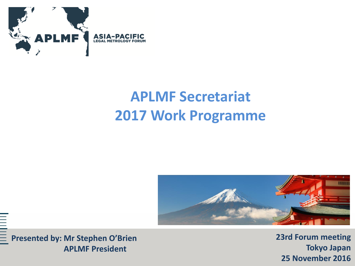

## **APLMF Secretariat 2017 Work Programme**





**23rd Forum meeting Tokyo Japan 25 November 2016**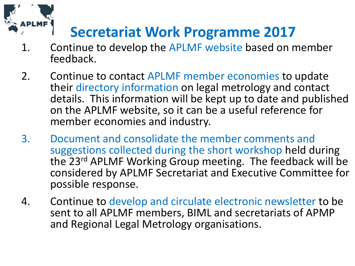

## **Secretariat Work Programme 2017**

- 1. Continue to develop the APLMF website based on member feedback.
- 2. Continue to contact APLMF member economies to update their directory information on legal metrology and contact details. This information will be kept up to date and published on the APLMF website, so it can be a useful reference for member economies and industry.
- 3. Document and consolidate the member comments and suggestions collected during the short workshop held during the 23rd APLMF Working Group meeting. The feedback will be considered by APLMF Secretariat and Executive Committee for possible response.
- 4. Continue to develop and circulate electronic newsletter to be sent to all APLMF members, BIML and secretariats of APMP and Regional Legal Metrology organisations.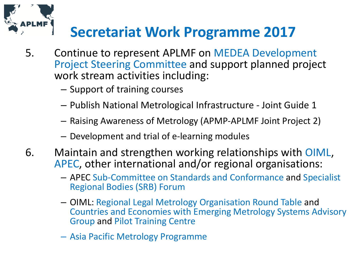

## **Secretariat Work Programme 2017**

- 5. Continue to represent APLMF on MEDEA Development Project Steering Committee and support planned project work stream activities including:
	- Support of training courses
	- Publish National Metrological Infrastructure Joint Guide 1
	- Raising Awareness of Metrology (APMP-APLMF Joint Project 2)
	- Development and trial of e-learning modules
- 6. Maintain and strengthen working relationships with OIML, APEC, other international and/or regional organisations:
	- APEC Sub-Committee on Standards and Conformance and Specialist Regional Bodies (SRB) Forum
	- OIML: Regional Legal Metrology Organisation Round Table and Countries and Economies with Emerging Metrology Systems Advisory Group and Pilot Training Centre
	- Asia Pacific Metrology Programme